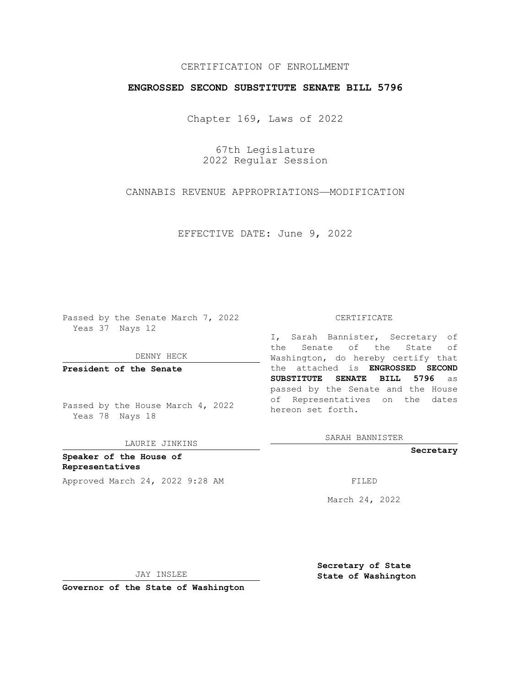## CERTIFICATION OF ENROLLMENT

### **ENGROSSED SECOND SUBSTITUTE SENATE BILL 5796**

Chapter 169, Laws of 2022

67th Legislature 2022 Regular Session

CANNABIS REVENUE APPROPRIATIONS—MODIFICATION

EFFECTIVE DATE: June 9, 2022

Passed by the Senate March 7, 2022 Yeas 37 Nays 12

DENNY HECK

**President of the Senate**

Passed by the House March 4, 2022 Yeas 78 Nays 18

LAURIE JINKINS

**Speaker of the House of Representatives** Approved March 24, 2022 9:28 AM FILED

#### CERTIFICATE

I, Sarah Bannister, Secretary of the Senate of the State of Washington, do hereby certify that the attached is **ENGROSSED SECOND SUBSTITUTE SENATE BILL 5796** as passed by the Senate and the House of Representatives on the dates hereon set forth.

SARAH BANNISTER

**Secretary**

March 24, 2022

JAY INSLEE

**Secretary of State State of Washington**

**Governor of the State of Washington**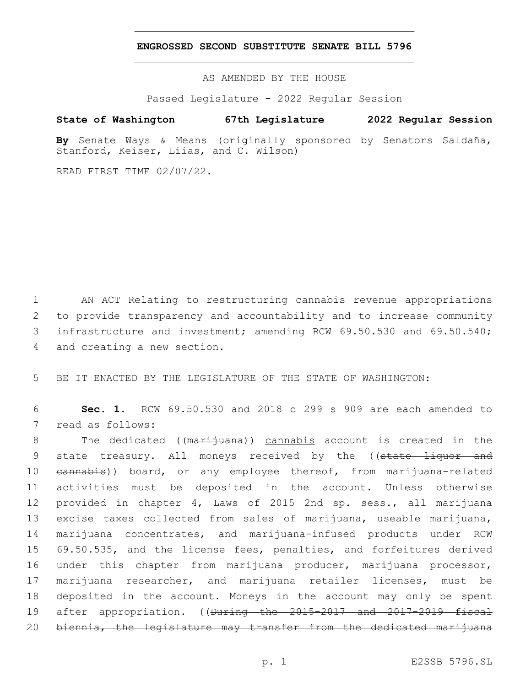### **ENGROSSED SECOND SUBSTITUTE SENATE BILL 5796**

AS AMENDED BY THE HOUSE

Passed Legislature - 2022 Regular Session

# **State of Washington 67th Legislature 2022 Regular Session**

**By** Senate Ways & Means (originally sponsored by Senators Saldaña, Stanford, Keiser, Liias, and C. Wilson)

READ FIRST TIME 02/07/22.

 AN ACT Relating to restructuring cannabis revenue appropriations to provide transparency and accountability and to increase community infrastructure and investment; amending RCW 69.50.530 and 69.50.540; 4 and creating a new section.

5 BE IT ENACTED BY THE LEGISLATURE OF THE STATE OF WASHINGTON:

6 **Sec. 1.** RCW 69.50.530 and 2018 c 299 s 909 are each amended to 7 read as follows:

8 The dedicated ((marijuana)) cannabis account is created in the 9 state treasury. All moneys received by the ((state liquor and 10 eannabis)) board, or any employee thereof, from marijuana-related activities must be deposited in the account. Unless otherwise provided in chapter 4, Laws of 2015 2nd sp. sess., all marijuana excise taxes collected from sales of marijuana, useable marijuana, marijuana concentrates, and marijuana-infused products under RCW 69.50.535, and the license fees, penalties, and forfeitures derived under this chapter from marijuana producer, marijuana processor, marijuana researcher, and marijuana retailer licenses, must be deposited in the account. Moneys in the account may only be spent 19 after appropriation. ((During the 2015-2017 and 2017-2019 fiscal 20 biennia, the legislature may transfer from the dedicated marijuana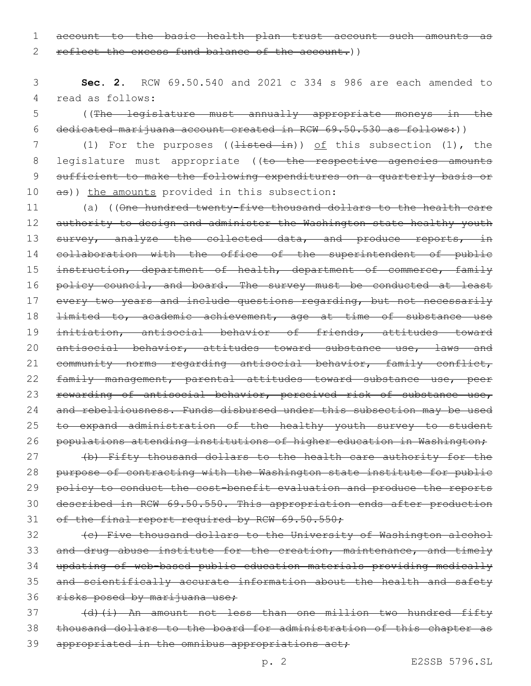1 account to the basic health plan trust account such amounts as 2 reflect the excess fund balance of the account.))

3 **Sec. 2.** RCW 69.50.540 and 2021 c 334 s 986 are each amended to 4 read as follows:

5 ((The legislature must annually appropriate moneys in the 6 dedicated marijuana account created in RCW 69.50.530 as follows:))

7 (1) For the purposes ((<del>listed in</del>)) of this subsection (1), the 8 legislature must appropriate ((to the respective agencies amounts 9 sufficient to make the following expenditures on a quarterly basis or  $10$  as)) the amounts provided in this subsection:

11 (a) ((One hundred twenty-five thousand dollars to the health care 12 authority to design and administer the Washington state healthy youth 13 survey, analyze the collected data, and produce reports, in 14 collaboration with the office of the superintendent of public 15 instruction, department of health, department of commerce, family 16 policy council, and board. The survey must be conducted at least 17 every two years and include questions regarding, but not necessarily 18 <del>limited to, academic achievement, age at time of substance use</del> 19 initiation, antisocial behavior of friends, attitudes toward 20 antisocial behavior, attitudes toward substance use, laws and 21 community norms regarding antisocial behavior, family conflict, 22 family management, parental attitudes toward substance use, peer 23 rewarding of antisocial behavior, perceived risk of substance use, 24 and rebelliousness. Funds disbursed under this subsection may be used 25 to expand administration of the healthy youth survey to student 26 populations attending institutions of higher education in Washington;

27 (b) Fifty thousand dollars to the health care authority for the 28 purpose of contracting with the Washington state institute for public 29 policy to conduct the cost-benefit evaluation and produce the reports 30 described in RCW 69.50.550. This appropriation ends after production 31 of the final report required by RCW 69.50.550;

 (c) Five thousand dollars to the University of Washington alcohol 33 and drug abuse institute for the creation, maintenance, and timely updating of web-based public education materials providing medically and scientifically accurate information about the health and safety risks posed by marijuana use;

37 (d)(i) An amount not less than one million two hundred fifty 38 thousand dollars to the board for administration of this chapter as 39 appropriated in the omnibus appropriations act;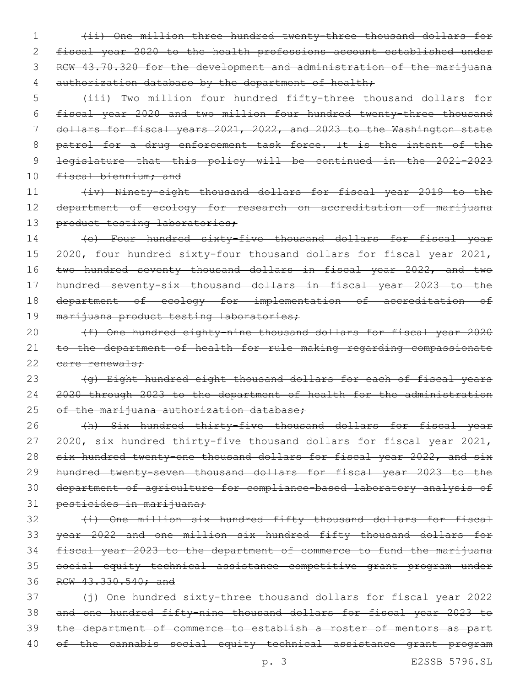1 (ii) One million three hundred twenty-three thousand dollars for 2 fiscal year 2020 to the health professions account established under 3 RCW 43.70.320 for the development and administration of the marijuana 4 authorization database by the department of health;

 (iii) Two million four hundred fifty-three thousand dollars for fiscal year 2020 and two million four hundred twenty-three thousand dollars for fiscal years 2021, 2022, and 2023 to the Washington state 8 patrol for a drug enforcement task force. It is the intent of the legislature that this policy will be continued in the 2021-2023 10 fiscal biennium; and

11 (iv) Ninety-eight thousand dollars for fiscal year 2019 to the 12 department of ecology for research on accreditation of marijuana 13 product testing laboratories;

 (e) Four hundred sixty-five thousand dollars for fiscal year 2020, four hundred sixty-four thousand dollars for fiscal year 2021, 16 two hundred seventy thousand dollars in fiscal year 2022, and two hundred seventy-six thousand dollars in fiscal year 2023 to the department of ecology for implementation of accreditation of 19 marijuana product testing laboratories;

20 (f) One hundred eighty-nine thousand dollars for fiscal year 2020 21 to the department of health for rule making regarding compassionate 22 eare renewals:

23 (g) Eight hundred eight thousand dollars for each of fiscal years 24 2020 through 2023 to the department of health for the administration 25 of the marijuana authorization database;

26 (h) Six hundred thirty-five thousand dollars for fiscal year 27 2020, six hundred thirty-five thousand dollars for fiscal year 2021, 28 six hundred twenty-one thousand dollars for fiscal year 2022, and six 29 hundred twenty-seven thousand dollars for fiscal year 2023 to the 30 department of agriculture for compliance-based laboratory analysis of 31 pesticides in marijuana;

32 (i) One million six hundred fifty thousand dollars for fiscal year 2022 and one million six hundred fifty thousand dollars for fiscal year 2023 to the department of commerce to fund the marijuana social equity technical assistance competitive grant program under RCW 43.330.540; and

37 (i) One hundred sixty-three thousand dollars for fiscal year 2022 and one hundred fifty-nine thousand dollars for fiscal year 2023 to the department of commerce to establish a roster of mentors as part of the cannabis social equity technical assistance grant program

p. 3 E2SSB 5796.SL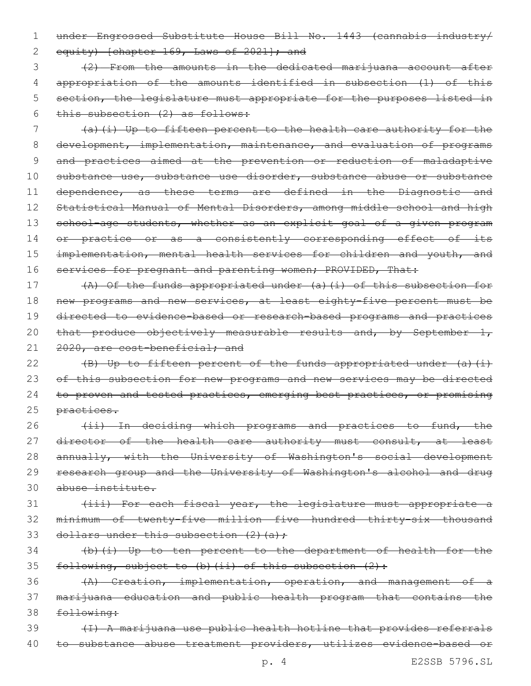1 under Engrossed Substitute House Bill No. 1443 (cannabis industry/ 2 equity) [chapter 169, Laws of 2021]; and

 (2) From the amounts in the dedicated marijuana account after appropriation of the amounts identified in subsection (1) of this 5 section, the legislature must appropriate for the purposes listed in this subsection (2) as follows:

7 (a)(i) Up to fifteen percent to the health care authority for the 8 development, implementation, maintenance, and evaluation of programs 9 and practices aimed at the prevention or reduction of maladaptive 10 substance use, substance use disorder, substance abuse or substance 11 dependence, as these terms are defined in the Diagnostic and 12 Statistical Manual of Mental Disorders, among middle school and high 13 school-age students, whether as an explicit goal of a given program 14 or practice or as a consistently corresponding effect of its 15 implementation, mental health services for children and youth, and 16 services for pregnant and parenting women; PROVIDED, That:

17 (A) Of the funds appropriated under (a)(i) of this subsection for 18 new programs and new services, at least eighty-five percent must be 19 directed to evidence-based or research-based programs and practices 20 that produce objectively measurable results and, by September  $1$ , 21 2020, are cost-beneficial; and

22  $(B)$  Up to fifteen percent of the funds appropriated under  $(a)$  (i) 23 of this subsection for new programs and new services may be directed 24 to proven and tested practices, emerging best practices, or promising 25 practices.

26 (ii) In deciding which programs and practices to fund, the 27 director of the health care authority must consult, at least 28 annually, with the University of Washington's social development 29 research group and the University of Washington's alcohol and drug 30 abuse institute.

31 (iii) For each fiscal year, the legislature must appropriate a 32 minimum of twenty-five million five hundred thirty-six thousand 33 dollars under this subsection  $(2)$   $(a)$ ;

34 (b)(i) Up to ten percent to the department of health for the 35 following, subject to (b)  $(ii)$  of this subsection  $(2)$ :

36 (A) Creation, implementation, operation, and management of a 37 marijuana education and public health program that contains the 38 following:

39 (I) A marijuana use public health hotline that provides referrals 40 to substance abuse treatment providers, utilizes evidence-based or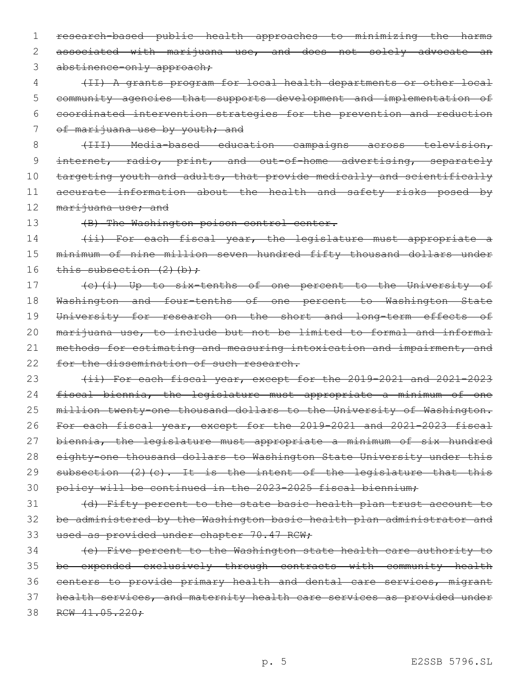1 research-based public health approaches to minimizing the harms 2 associated with marijuana use, and does not solely advocate an 3 abstinence-only approach;

 (II) A grants program for local health departments or other local community agencies that supports development and implementation of coordinated intervention strategies for the prevention and reduction 7 of marijuana use by youth; and

8 (III) Media-based education campaigns across television,

9 internet, radio, print, and out-of-home advertising, separately 10 targeting youth and adults, that provide medically and scientifically 11 accurate information about the health and safety risks posed by 12 marijuana use; and

13 (B) The Washington poison control center.

14 (ii) For each fiscal year, the legislature must appropriate a 15 minimum of nine million seven hundred fifty thousand dollars under 16 this subsection  $(2)$  (b);

17 (c)(i) Up to six-tenths of one percent to the University of 18 Washington and four-tenths of one percent to Washington State 19 University for research on the short and long-term effects of 20 marijuana use, to include but not be limited to formal and informal 21 methods for estimating and measuring intoxication and impairment, and 22 for the dissemination of such research.

23 (ii) For each fiscal year, except for the 2019-2021 and 2021-2023 24 fiscal biennia, the legislature must appropriate a minimum of one 25 million twenty-one thousand dollars to the University of Washington. 26 For each fiscal year, except for the 2019-2021 and 2021-2023 fiscal 27 biennia, the legislature must appropriate a minimum of six hundred 28 eighty-one thousand dollars to Washington State University under this 29 subsection (2)(c). It is the intent of the legislature that this 30 policy will be continued in the 2023-2025 fiscal biennium;

31 (d) Fifty percent to the state basic health plan trust account to 32 be administered by the Washington basic health plan administrator and 33 used as provided under chapter 70.47 RCW;

 (e) Five percent to the Washington state health care authority to be expended exclusively through contracts with community health centers to provide primary health and dental care services, migrant health services, and maternity health care services as provided under 38 RCW 41.05.220: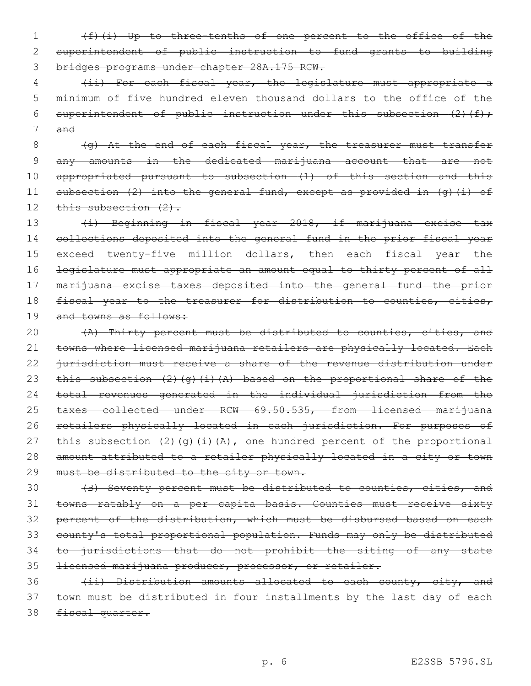1 (f)(i) Up to three-tenths of one percent to the office of the 2 superintendent of public instruction to fund grants to building 3 bridges programs under chapter 28A.175 RCW.

4 (ii) For each fiscal year, the legislature must appropriate a 5 minimum of five hundred eleven thousand dollars to the office of the 6 superintendent of public instruction under this subsection  $(2)$  (f); 7 and

8 (g) At the end of each fiscal year, the treasurer must transfer 9 any amounts in the dedicated marijuana account that are not 10 appropriated pursuant to subsection (1) of this section and this 11 subsection (2) into the general fund, except as provided in (g)(i) of 12 this subsection (2).

13 (i) Beginning in fiscal year 2018, if marijuana excise tax 14 collections deposited into the general fund in the prior fiscal year 15 exceed twenty-five million dollars, then each fiscal year the 16 legislature must appropriate an amount equal to thirty percent of all 17 marijuana excise taxes deposited into the general fund the prior 18 fiscal year to the treasurer for distribution to counties, cities, 19 and towns as follows:

20 (A) Thirty percent must be distributed to counties, cities, and 21 towns where licensed marijuana retailers are physically located. Each 22 jurisdiction must receive a share of the revenue distribution under 23 this subsection (2)(g)(i)(A) based on the proportional share of the 24 total revenues generated in the individual jurisdiction from the 25 taxes collected under RCW 69.50.535, from licensed marijuana 26 retailers physically located in each jurisdiction. For purposes of 27 this subsection  $(2)$   $(q)$   $(i)$   $(A)$ , one hundred percent of the proportional 28 amount attributed to a retailer physically located in a city or town 29 must be distributed to the city or town.

 (B) Seventy percent must be distributed to counties, cities, and towns ratably on a per capita basis. Counties must receive sixty 32 percent of the distribution, which must be disbursed based on each county's total proportional population. Funds may only be distributed 34 to jurisdictions that do not prohibit the siting of any state licensed marijuana producer, processor, or retailer.

36 (ii) Distribution amounts allocated to each county, city, and 37 town must be distributed in four installments by the last day of each 38 fiscal quarter.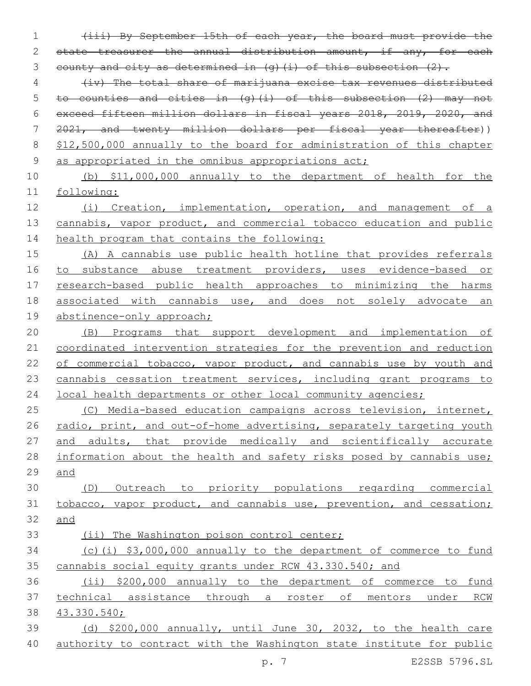1 (iii) By September 15th of each year, the board must provide the 2 state treasurer the annual distribution amount, if any, for each 3 county and city as determined in  $(q)$  (i) of this subsection  $(2)$ . 4 (iv) The total share of marijuana excise tax revenues distributed 5 to counties and cities in  $(q)$  (i) of this subsection (2) may not 6 exceed fifteen million dollars in fiscal years 2018, 2019, 2020, and 7 2021, and twenty million dollars per fiscal year thereafter)) 8 \$12,500,000 annually to the board for administration of this chapter 9 as appropriated in the omnibus appropriations act; 10 (b) \$11,000,000 annually to the department of health for the 11 following: 12 (i) Creation, implementation, operation, and management of a 13 cannabis, vapor product, and commercial tobacco education and public 14 health program that contains the following: 15 (A) A cannabis use public health hotline that provides referrals 16 to substance abuse treatment providers, uses evidence-based or 17 research-based public health approaches to minimizing the harms 18 associated with cannabis use, and does not solely advocate an 19 abstinence-only approach; 20 (B) Programs that support development and implementation of 21 coordinated intervention strategies for the prevention and reduction 22 of commercial tobacco, vapor product, and cannabis use by youth and 23 cannabis cessation treatment services, including grant programs to 24 local health departments or other local community agencies; 25 (C) Media-based education campaigns across television, internet, 26 radio, print, and out-of-home advertising, separately targeting youth 27 and adults, that provide medically and scientifically accurate 28 information about the health and safety risks posed by cannabis use; 29 and 30 (D) Outreach to priority populations regarding commercial 31 tobacco, vapor product, and cannabis use, prevention, and cessation; 32 and 33 (ii) The Washington poison control center; 34 (c)(i) \$3,000,000 annually to the department of commerce to fund 35 cannabis social equity grants under RCW 43.330.540; and 36 (ii) \$200,000 annually to the department of commerce to fund 37 technical assistance through a roster of mentors under RCW 38 43.330.540; 39 (d) \$200,000 annually, until June 30, 2032, to the health care 40 authority to contract with the Washington state institute for public

p. 7 E2SSB 5796.SL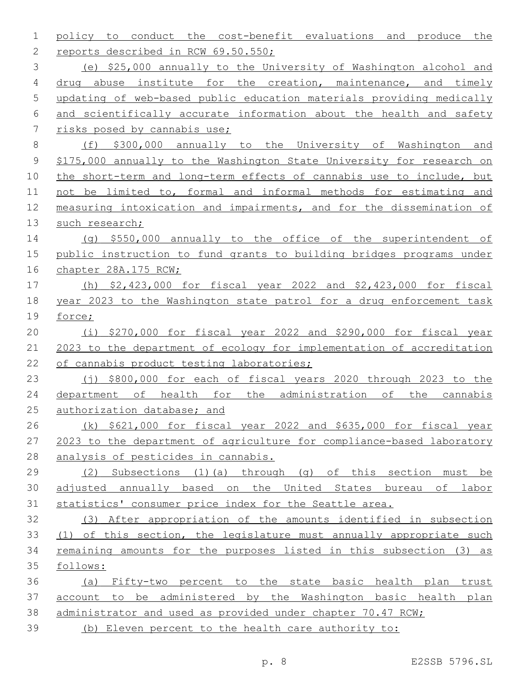| 1           | conduct the cost-benefit evaluations<br>policy to<br>and<br>produce the |
|-------------|-------------------------------------------------------------------------|
| 2           | reports described in RCW 69.50.550;                                     |
| 3           | (e) \$25,000 annually to the University of Washington alcohol and       |
| 4           | drug abuse institute for the creation, maintenance, and timely          |
| 5           | updating of web-based public education materials providing medically    |
| 6           | and scientifically accurate information about the health and safety     |
| 7           | risks posed by cannabis use;                                            |
| 8           | (f) \$300,000 annually to the University of Washington and              |
| $\mathsf 9$ | \$175,000 annually to the Washington State University for research on   |
| 10          | the short-term and long-term effects of cannabis use to include, but    |
| 11          | not be limited to, formal and informal methods for estimating and       |
| 12          | measuring intoxication and impairments, and for the dissemination of    |
| 13          | such research;                                                          |
| 14          | (q) $$550,000$ annually to the office of the superintendent of          |
| 15          | public instruction to fund grants to building bridges programs under    |
| 16          | chapter 28A.175 RCW;                                                    |
| 17          | (h) $$2,423,000$ for fiscal year 2022 and $$2,423,000$ for fiscal       |
| 18          | year 2023 to the Washington state patrol for a drug enforcement task    |
| 19          | force;                                                                  |
| 20          | (i) $$270,000$ for fiscal year 2022 and $$290,000$ for fiscal year      |
| 21          | 2023 to the department of ecology for implementation of accreditation   |
| 22          | of cannabis product testing laboratories;                               |
| 23          | $(i)$ \$800,000 for each of fiscal years 2020 through 2023 to the       |
| 24          | department of health for the administration of<br>the<br>cannabis       |
| 25          | authorization database; and                                             |
| 26          | $(k)$ \$621,000 for fiscal year 2022 and \$635,000 for fiscal year      |
| 27          | 2023 to the department of agriculture for compliance-based laboratory   |
| 28          | analysis of pesticides in cannabis.                                     |
| 29          | (2) Subsections (1)(a) through (g) of this section must be              |
| 30          | adjusted annually based on the United States bureau of labor            |
| 31          | statistics' consumer price index for the Seattle area.                  |
| 32          | (3) After appropriation of the amounts identified in subsection         |
| 33          | (1) of this section, the legislature must annually appropriate such     |
| 34          | remaining amounts for the purposes listed in this subsection (3) as     |
| 35          | follows:                                                                |
| 36          | (a) Fifty-two percent to the state basic health plan trust              |
| 37          | account to be administered by the Washington basic health plan          |
| 38          | administrator and used as provided under chapter 70.47 RCW;             |
| 39          | (b) Eleven percent to the health care authority to:                     |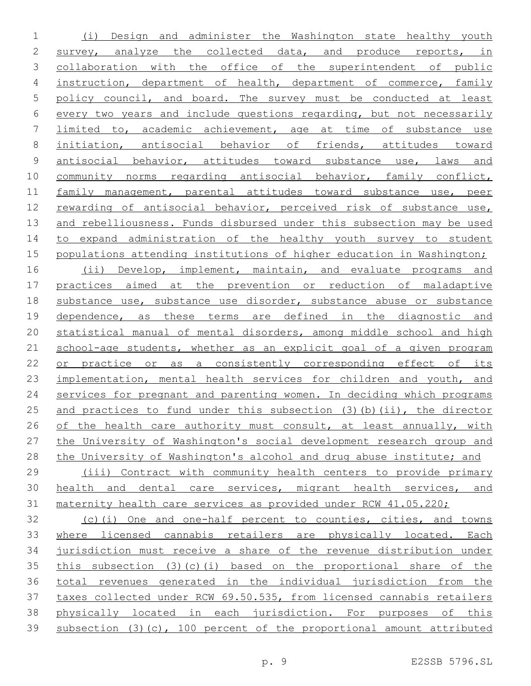(i) Design and administer the Washington state healthy youth survey, analyze the collected data, and produce reports, in collaboration with the office of the superintendent of public instruction, department of health, department of commerce, family policy council, and board. The survey must be conducted at least every two years and include questions regarding, but not necessarily limited to, academic achievement, age at time of substance use initiation, antisocial behavior of friends, attitudes toward 9 antisocial behavior, attitudes toward substance use, laws and 10 community norms regarding antisocial behavior, family conflict, 11 family management, parental attitudes toward substance use, peer rewarding of antisocial behavior, perceived risk of substance use, and rebelliousness. Funds disbursed under this subsection may be used to expand administration of the healthy youth survey to student populations attending institutions of higher education in Washington; 16 (ii) Develop, implement, maintain, and evaluate programs and practices aimed at the prevention or reduction of maladaptive substance use, substance use disorder, substance abuse or substance dependence, as these terms are defined in the diagnostic and statistical manual of mental disorders, among middle school and high school-age students, whether as an explicit goal of a given program 22 or practice or as a consistently corresponding effect of its implementation, mental health services for children and youth, and 24 services for pregnant and parenting women. In deciding which programs 25 and practices to fund under this subsection (3)(b)(ii), the director 26 of the health care authority must consult, at least annually, with the University of Washington's social development research group and the University of Washington's alcohol and drug abuse institute; and (iii) Contract with community health centers to provide primary health and dental care services, migrant health services, and maternity health care services as provided under RCW 41.05.220; (c)(i) One and one-half percent to counties, cities, and towns where licensed cannabis retailers are physically located. Each jurisdiction must receive a share of the revenue distribution under this subsection (3)(c)(i) based on the proportional share of the total revenues generated in the individual jurisdiction from the taxes collected under RCW 69.50.535, from licensed cannabis retailers physically located in each jurisdiction. For purposes of this subsection (3)(c), 100 percent of the proportional amount attributed